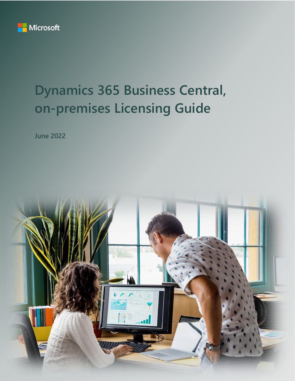

# **Dynamics 365 Business Central, on-premises Licensing Guide**

**June 2022**

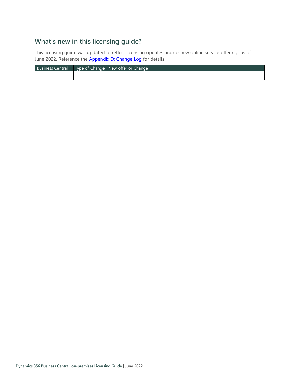# **What's new in this licensing guide?**

This licensing guide was updated to reflect licensing updates and/or new online service offerings as of June 2022. Reference the **[Appendix D: Change Log](#page-19-0)** for details.

| <b>Business Central</b> | Type of Change   New offer or Change, |
|-------------------------|---------------------------------------|
|                         |                                       |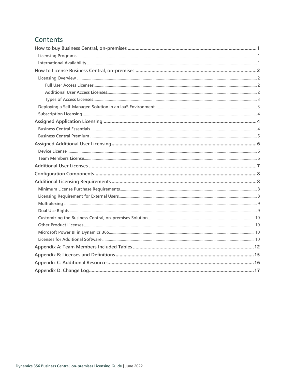# Contents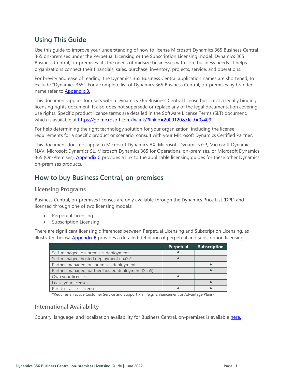# **Using This Guide**

Use this guide to improve your understanding of how to license Microsoft Dynamics 365 Business Central 365 on-premises under the Perpetual Licensing or the Subscription Licensing model. Dynamics 365 Business Central, on-premises fits the needs of midsize businesses with core business needs. It helps organizations connect their financials, sales, purchase, inventory, projects, service, and operations.

For brevity and ease of reading, the Dynamics 365 Business Central application names are shortened, to exclude "Dynamics 365". For a complete list of Dynamics 365 Business Central, on-premises by branded name refer to [Appendix B.](#page-17-0)

This document applies for users with a Dynamics 365 Business Central license but is not a legally binding licensing rights document. It also does not supersede or replace any of the legal documentation covering use rights. Specific product license terms are detailed in the Software License Terms (SLT) document, which is available at<https://go.microsoft.com/fwlink/?linkid=2009120&clcid=0x409>.

For help determining the right technology solution for your organization, including the license requirements for a specific product or scenario, consult with your Microsoft Dynamics Certified Partner.

This document does not apply to Microsoft Dynamics AX, Microsoft Dynamics GP, Microsoft Dynamics NAV, Microsoft Dynamics SL, Microsoft Dynamics 365 for Operations, on-premises, or Microsoft Dynamics 365 (On-Premises). [Appendix C](#page-18-0) provides a link to the applicable licensing guides for these other Dynamics on-premises products.

# <span id="page-3-0"></span>**How to buy Business Central, on-premises**

### <span id="page-3-1"></span>**Licensing Programs**

Business Central, on-premises licenses are only available through the Dynamics Price List (DPL) and licensed through one of two licensing models:

- Perpetual Licensing
- Subscription Licensing

There are significant licensing differences between Perpetual Licensing and Subscription Licensing, as illustrated below. **[Appendix B](#page-17-0)** provides a detailed definition of perpetual and subscription licensing.

|                                                   | <b>Perpetual</b> | <b>Subscription</b> |
|---------------------------------------------------|------------------|---------------------|
| Self-managed, on-premises deployment              |                  |                     |
| Self-managed, hosted deployment (laaS)*           |                  |                     |
| Partner-managed, on-premises deployment           |                  |                     |
| Partner-managed, partner-hosted deployment (SaaS) |                  |                     |
| Own your licenses                                 |                  |                     |
| Lease your licenses                               |                  |                     |
| Per User access licenses                          |                  |                     |

**\***Requires an active Customer Service and Support Plan (e.g., Enhancement or Advantage Plans)

### <span id="page-3-2"></span>**International Availability**

Country, language, and localization availability for Business Central, on-premises is available [here.](https://docs.microsoft.com/dynamics365/business-central/dev-itpro/compliance/apptest-countries-and-translations#planned-future-availability)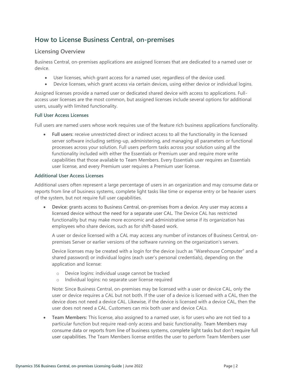# <span id="page-4-0"></span>**How to License Business Central, on-premises**

### <span id="page-4-1"></span>**Licensing Overview**

Business Central, on-premises applications are assigned licenses that are dedicated to a named user or device.

- User licenses, which grant access for a named user, regardless of the device used.
- Device licenses, which grant access via certain devices, using either device or individual logins.

Assigned licenses provide a named user or dedicated shared device with access to applications. Fullaccess user licenses are the most common, but assigned licenses include several options for additional users, usually with limited functionality.

#### <span id="page-4-2"></span>**Full User Access Licenses**

Full users are named users whose work requires use of the feature rich business applications functionality.

• **Full users**: receive unrestricted direct or indirect access to all the functionality in the licensed server software including setting-up, administering, and managing all parameters or functional processes across your solution. Full users perform tasks across your solution using all the functionality included with either the Essentials or Premium user and require more write capabilities that those available to Team Members. Every Essentials user requires an Essentials user license, and every Premium user requires a Premium user license.

#### <span id="page-4-3"></span>**Additional User Access Licenses**

Additional users often represent a large percentage of users in an organization and may consume data or reports from line of business systems, complete light tasks like time or expense entry or be heavier users of the system, but not require full user capabilities.

• **Device:** grants access to Business Central, on-premises from a device. Any user may access a licensed device without the need for a separate user CAL. The Device CAL has restricted functionality but may make more economic and administrative sense if its organization has employees who share devices, such as for shift-based work.

A user or device licensed with a CAL may access any number of instances of Business Central, onpremises Server or earlier versions of the software running on the organization's servers.

Device licenses may be created with a login for the device (such as "Warehouse Computer" and a shared password) or individual logins (each user's personal credentials), depending on the application and license:

- o Device logins: individual usage cannot be tracked
- o Individual logins: no separate user license required

Note: Since Business Central, on-premises may be licensed with a user or device CAL, only the user or device requires a CAL but not both. If the user of a device is licensed with a CAL, then the device does not need a device CAL. Likewise, if the device is licensed with a device CAL, then the user does not need a CAL. Customers can mix both user and device CALs.

• **Team Members:** This license, also assigned to a named user, is for users who are not tied to a particular function but require read-only access and basic functionality. Team Members may consume data or reports from line of business systems, complete light tasks but don't require full user capabilities. The Team Members license entitles the user to perform Team Members user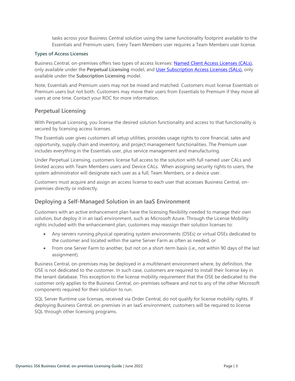tasks across your Business Central solution using the same functionality footprint available to the Essentials and Premium users. Every Team Members user requires a Team Members user license.

#### <span id="page-5-0"></span>**Types of Access Licenses**

Business Central, on-premises offers two types of access licenses: [Named Client Access Licenses \(CALs\)](#page-17-1)**,** only available under the **Perpetual Licensing** model, and [User Subscription Access Licenses \(SALs\)](#page-17-2)**,** only available under the **Subscription Licensing** model.

Note, Essentials and Premium users may not be mixed and matched. Customers must license Essentials or Premium users but not both. Customers may move their users from Essentials to Premium if they move all users at one time. Contact your ROC for more information.

### **Perpetual Licensing**

With Perpetual Licensing, you license the desired solution functionality and access to that functionality is secured by licensing access licenses.

The Essentials user gives customers all setup utilities, provides usage rights to core financial, sales and opportunity, supply chain and inventory, and project management functionalities. The Premium user includes everything in the Essentials user, plus service management and manufacturing.

Under Perpetual Licensing, customers license full access to the solution with full named user CALs and limited access with Team Members users and Device CALs. When assigning security rights to users, the system administrator will designate each user as a full, Team Members, or a device user.

Customers must acquire and assign an access license to each user that accesses Business Central, onpremises directly or indirectly.

### <span id="page-5-1"></span>**Deploying a Self-Managed Solution in an IaaS Environment**

Customers with an active enhancement plan have the licensing flexibility needed to manage their own solution, but deploy it in an IaaS environment, such as Microsoft Azure. Through the License Mobility rights included with the enhancement plan, customers may reassign their solution licenses to:

- Any servers running physical operating system environments (OSEs) or virtual OSEs dedicated to the customer and located within the same Server Farm as often as needed, or
- From one Server Farm to another, but not on a short-term basis (i.e., not within 90 days of the last assignment).

Business Central, on-premises may be deployed in a multitenant environment where, by definition, the OSE is not dedicated to the customer. In such case, customers are required to install their license key in the tenant database. This exception to the license mobility requirement that the OSE be dedicated to the customer only applies to the Business Central, on-premises software and not to any of the other Microsoft components required for their solution to run.

SQL Server Runtime use licenses, received via Order Central, do not qualify for license mobility rights. If deploying Business Central, on-premises in an IaaS environment, customers will be required to license SQL through other licensing programs.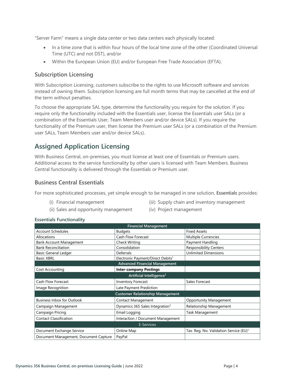"Server Farm" means a single data center or two data centers each physically located:

- In a time zone that is within four hours of the local time zone of the other (Coordinated Universal Time (UTC) and not DST), and/or
- Within the European Union (EU) and/or European Free Trade Association (EFTA).

### <span id="page-6-0"></span>**Subscription Licensing**

With Subscription Licensing, customers subscribe to the rights to use Microsoft software and services instead of owning them. Subscription licensing are full month terms that may be cancelled at the end of the term without penalties.

To choose the appropriate SAL type, determine the functionality you require for the solution. If you require only the functionality included with the Essentials user, license the Essentials user SALs (or a combination of the Essentials User, Team Members user and/or device SALs). If you require the functionality of the Premium user, then license the Premium user SALs (or a combination of the Premium user SALs, Team Members user and/or device SALs).

# <span id="page-6-1"></span>**Assigned Application Licensing**

With Business Central, on-premises, you must license at least one of Essentials or Premium users. Additional access to the service functionality by other users is licensed with Team Members. Business Central functionality is delivered through the Essentials or Premium user.

### <span id="page-6-2"></span>**Business Central Essentials**

For more sophisticated processes, yet simple enough to be managed in one solution, **Essentials** provides:

(i) Financial management

- (iii) Supply chain and inventory management
- (ii) Sales and opportunity management
- (iv) Project management

#### **Essentials Functionality**

| <b>Financial Management</b>             |                                               |                                                    |  |  |  |
|-----------------------------------------|-----------------------------------------------|----------------------------------------------------|--|--|--|
| <b>Account Schedules</b>                | <b>Budgets</b>                                | <b>Fixed Assets</b>                                |  |  |  |
| Allocations                             | <b>Cash Flow Forecast</b>                     | <b>Multiple Currencies</b>                         |  |  |  |
| <b>Bank Account Management</b>          | <b>Check Writing</b>                          | Payment Handling                                   |  |  |  |
| <b>Bank Reconciliation</b>              | Consolidation                                 | <b>Responsibility Centers</b>                      |  |  |  |
| Basic General Ledger                    | Deferrals                                     | <b>Unlimited Dimensions</b>                        |  |  |  |
| <b>Basic XBRL</b>                       | Electronic Payment/Direct Debits <sup>1</sup> |                                                    |  |  |  |
|                                         | <b>Advanced Financial Management</b>          |                                                    |  |  |  |
| Cost Accounting                         | <b>Inter-company Postings</b>                 |                                                    |  |  |  |
|                                         | Artificial Intelligence <sup>2</sup>          |                                                    |  |  |  |
| Cash Flow Forecast                      | <b>Inventory Forecast</b>                     | Sales Forecast                                     |  |  |  |
| Image Recognition                       | Late Payment Prediction                       |                                                    |  |  |  |
| <b>Customer Relationship Management</b> |                                               |                                                    |  |  |  |
| <b>Business Inbox for Outlook</b>       | <b>Contact Management</b>                     | <b>Opportunity Management</b>                      |  |  |  |
| Campaign Management                     | Dynamics 365 Sales Integration <sup>3</sup>   | Relationship Management                            |  |  |  |
| Campaign Pricing                        | Email Logging                                 | <b>Task Management</b>                             |  |  |  |
| <b>Contact Classification</b>           | Interaction / Document Management             |                                                    |  |  |  |
| E-Services                              |                                               |                                                    |  |  |  |
| Document Exchange Service               | Online Map                                    | Tax. Reg. No. Validation Service (EU) <sup>1</sup> |  |  |  |
| Document Management, Document Capture   | PayPal                                        |                                                    |  |  |  |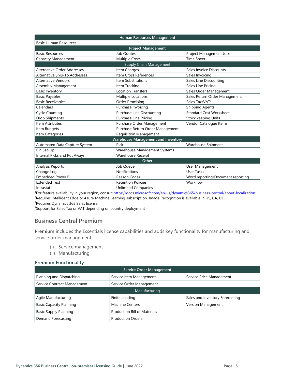| Human Resources Management    |                                           |                                   |  |  |  |  |
|-------------------------------|-------------------------------------------|-----------------------------------|--|--|--|--|
| <b>Basic Human Resources</b>  |                                           |                                   |  |  |  |  |
|                               | <b>Project Management</b>                 |                                   |  |  |  |  |
| <b>Basic Resources</b>        | Job Quotes                                | Project Management Jobs           |  |  |  |  |
| Capacity Management           | <b>Multiple Costs</b>                     | <b>Time Sheet</b>                 |  |  |  |  |
|                               | Supply Chain Management                   |                                   |  |  |  |  |
| Alternative Order Addresses   | Item Charges                              | Sales Invoice Discounts           |  |  |  |  |
| Alternative Ship-To Addresses | Item Cross References                     | Sales Invoicing                   |  |  |  |  |
| <b>Alternative Vendors</b>    | Item Substitutions                        | Sales Line Discounting            |  |  |  |  |
| Assembly Management           | Item Tracking                             | Sales Line Pricing                |  |  |  |  |
| <b>Basic Inventory</b>        | <b>Location Transfers</b>                 | Sales Order Management            |  |  |  |  |
| <b>Basic Payables</b>         | Multiple Locations                        | Sales Return Order Management     |  |  |  |  |
| <b>Basic Receivables</b>      | <b>Order Promising</b>                    | Sales Tax/VAT <sup>4</sup>        |  |  |  |  |
| Calendars                     | Purchase Invoicing                        | <b>Shipping Agents</b>            |  |  |  |  |
| <b>Cycle Counting</b>         | <b>Purchase Line Discounting</b>          | <b>Standard Cost Worksheet</b>    |  |  |  |  |
| Drop Shipments                | <b>Purchase Line Pricing</b>              | Stock keeping Units               |  |  |  |  |
| Item Attributes               | Purchase Order Management                 | Vendor Catalogue Items            |  |  |  |  |
| Item Budgets                  | Purchase Return Order Management          |                                   |  |  |  |  |
| Item Categories               | <b>Requisition Management</b>             |                                   |  |  |  |  |
|                               | <b>Warehouse Management and Inventory</b> |                                   |  |  |  |  |
| Automated Data Capture System | Pick                                      | Warehouse Shipment                |  |  |  |  |
| Bin Set-Up                    | Warehouse Management Systems              |                                   |  |  |  |  |
| Internal Picks and Put Aways  | Warehouse Receipt                         |                                   |  |  |  |  |
|                               | Other                                     |                                   |  |  |  |  |
| Analysis Reports              | Job Queue                                 | User Management                   |  |  |  |  |
| Change Log                    | <b>Notifications</b>                      | User Tasks                        |  |  |  |  |
| <b>Embedded Power BI</b>      | Reason Codes                              | Word reporting/Document reporting |  |  |  |  |
| <b>Extended Text</b>          | <b>Retention Policies</b>                 | Workflow                          |  |  |  |  |
| Intractat <sup>1</sup>        | <b>Unlimited Companies</b>                |                                   |  |  |  |  |

<sup>1</sup>For feature availability in your region, consult [https://docs.microsoft.com/en-us/dynamics365/business-central/about-localization](https://nam06.safelinks.protection.outlook.com/?url=https%3A%2F%2Fdocs.microsoft.com%2Fen-us%2Fdynamics365%2Fbusiness-central%2Fabout-localization&data=02%7C01%7Cv-decaro%40microsoft.com%7Cd2aa8d6cb0e34d67535808d78553b2bd%7C72f988bf86f141af91ab2d7cd011db47%7C1%7C0%7C637124466836550525&sdata=Tm0JOsRi7vEuRnTf7u89WTXntgayOX7Iagr7mtzBHnA%3D&reserved=0) <sup>2</sup>Requires Intelligent Edge or Azure Machine Learning subscription. Image Recognition is available in US, CA, UK.

<sup>3</sup>Requires Dynamics 365 Sales license

<span id="page-7-0"></span><sup>4</sup>Support for Sales Tax or VAT depending on country deployment

### **Business Central Premium**

**Premium** includes the Essentials license capabilities and adds key functionality for manufacturing and service order management:

- (i) Service management
- (ii) Manufacturing

#### **Premium Functionality**

| <b>Service Order Management</b> |                                     |                                 |  |  |  |
|---------------------------------|-------------------------------------|---------------------------------|--|--|--|
| Planning and Dispatching        | Service Item Management             | Service Price Management        |  |  |  |
| Service Contract Management     | Service Order Management            |                                 |  |  |  |
|                                 | Manufacturing                       |                                 |  |  |  |
| Agile Manufacturing             | Finite Loading                      | Sales and Inventory Forecasting |  |  |  |
| <b>Basic Capacity Planning</b>  | <b>Machine Centers</b>              | Version Management              |  |  |  |
| <b>Basic Supply Planning</b>    | <b>Production Bill of Materials</b> |                                 |  |  |  |
| Demand Forecasting              | <b>Production Orders</b>            |                                 |  |  |  |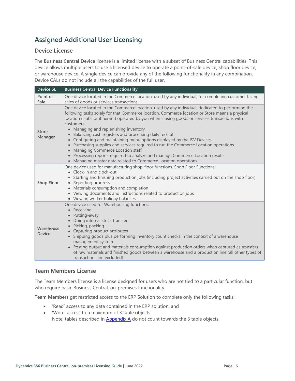# <span id="page-8-0"></span>**Assigned Additional User Licensing**

### <span id="page-8-1"></span>**Device License**

The **Business Central Device** license is a limited license with a subset of Business Central capabilities. This device allows multiple users to use a licensed device to operate a point-of-sale device, shop floor device, or warehouse device. A single device can provide any of the following functionality in any combination. Device CALs do not include all the capabilities of the full user.

| <b>Device SL</b>           | <b>Business Central Device Functionality</b>                                                                                                                                                                                                                                                                                                                                                                                                                                                                                                                                                                                                                                                                                                                                                                   |
|----------------------------|----------------------------------------------------------------------------------------------------------------------------------------------------------------------------------------------------------------------------------------------------------------------------------------------------------------------------------------------------------------------------------------------------------------------------------------------------------------------------------------------------------------------------------------------------------------------------------------------------------------------------------------------------------------------------------------------------------------------------------------------------------------------------------------------------------------|
| Point of<br>Sale           | One device located in the Commerce location, used by any individual, for completing customer facing<br>sales of goods or services transactions                                                                                                                                                                                                                                                                                                                                                                                                                                                                                                                                                                                                                                                                 |
| <b>Store</b><br>Manager    | One device located in the Commerce location, used by any individual, dedicated to performing the<br>following tasks solely for that Commerce location. Commerce location or Store means a physical<br>location (static or itinerant) operated by you when closing goods or services transactions with<br>customers:<br>Managing and replenishing inventory<br>$\bullet$<br>Balancing cash registers and processing daily receipts<br>Configuring and maintaining menu options displayed by the ISV Devices<br>Purchasing supplies and services required to run the Commerce Location operations<br>Managing Commerce Location staff<br>$\bullet$<br>• Processing reports required to analyze and manage Commerce Location results<br>Managing master data related to Commerce Location operations<br>$\bullet$ |
| <b>Shop Floor</b>          | One device used for manufacturing shop-floor functions. Shop Floor Functions:<br>• Clock-in and clock-out<br>Starting and finishing production jobs (including project activities carried out on the shop floor)<br>Reporting progress<br>$\bullet$<br>• Materials consumption and completion<br>• Viewing documents and instructions related to production jobs<br>• Viewing worker holiday balances                                                                                                                                                                                                                                                                                                                                                                                                          |
| Warehouse<br><b>Device</b> | One device used for Warehousing functions:<br>• Receiving<br>Putting-away<br>Doing internal stock transfers<br>• Picking, packing<br>• Capturing product attributes<br>Shipping goods plus performing inventory count checks in the context of a warehouse<br>management system<br>Posting output and materials consumption against production orders when captured as transfers<br>$\bullet$<br>of raw materials and finished goods between a warehouse and a production line (all other types of<br>transactions are excluded)                                                                                                                                                                                                                                                                               |

### <span id="page-8-2"></span>**Team Members License**

The Team Members license is a license designed for users who are not tied to a particular function, but who require basic Business Central, on-premises functionality.

**Team Members** get restricted access to the ERP Solution to complete only the following tasks:

- 'Read' access to any data contained in the ERP solution; and
- 'Write' access to a maximum of 3 table objects Note, tables described in  $\Delta$ ppendix  $\Delta$  do not count towards the 3 table objects.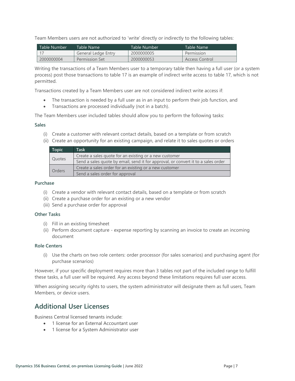Team Members users are not authorized to 'write' directly or indirectly to the following tables:

| l Table Number | Table Name          | Table Number | Table Name     |
|----------------|---------------------|--------------|----------------|
|                | General Ledge Entry | 2000000005   | Permission     |
| 2000000004     | Permission Set      | 2000000053   | Access Control |

Writing the transactions of a Team Members user to a temporary table then having a full user (or a system process) post those transactions to table 17 is an example of indirect write access to table 17, which is not permitted.

Transactions created by a Team Members user are not considered indirect write access if:

- The transaction is needed by a full user as in an input to perform their job function, and
- Transactions are processed individually (not in a batch).

The Team Members user included tables should allow you to perform the following tasks:

#### **Sales**

- (i) Create a customer with relevant contact details, based on a template or from scratch
- (ii) Create an opportunity for an existing campaign, and relate it to sales quotes or orders

| <b>Topic</b>  | Task                                                                              |
|---------------|-----------------------------------------------------------------------------------|
| Quotes        | Create a sales quote for an existing or a new customer                            |
|               | Send a sales quote by email, send it for approval, or convert it to a sales order |
| <b>Orders</b> | Create a sales order for an existing or a new customer                            |
|               | Send a sales order for approval                                                   |

#### **Purchase**

- (i) Create a vendor with relevant contact details, based on a template or from scratch
- (ii) Create a purchase order for an existing or a new vendor
- (iii) Send a purchase order for approval

#### **Other Tasks**

- (i) Fill in an existing timesheet
- (ii) Perform document capture expense reporting by scanning an invoice to create an incoming document

#### **Role Centers**

(i) Use the charts on two role centers: order processor (for sales scenarios) and purchasing agent (for purchase scenarios)

However, if your specific deployment requires more than 3 tables not part of the included range to fulfill these tasks, a full user will be required. Any access beyond these limitations requires full user access.

When assigning security rights to users, the system administrator will designate them as full users, Team Members, or device users.

# <span id="page-9-0"></span>**Additional User Licenses**

Business Central licensed tenants include:

- 1 license for an External Accountant user
- 1 license for a System Administrator user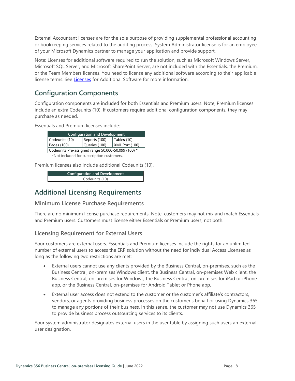External Accountant licenses are for the sole purpose of providing supplemental professional accounting or bookkeeping services related to the auditing process. System Administrator license is for an employee of your Microsoft Dynamics partner to manage your application and provide support.

Note: Licenses for additional software required to run the solution, such as Microsoft Windows Server, Microsoft SQL Server, and Microsoft SharePoint Server, are not included with the Essentials, the Premium, or the Team Members licenses. You need to license any additional software according to their applicable license terms. See [Licenses](https://www.microsoft.com/Licensing/how-to-buy/how-to-buy.aspx) for Additional Software for more information.

# <span id="page-10-0"></span>**Configuration Components**

Configuration components are included for both Essentials and Premium users. Note, Premium licenses include an extra Codeunits (10). If customers require additional configuration components, they may purchase as needed.

Essentials and Premium licenses include:

| <b>Configuration and Development</b>               |               |                |  |  |
|----------------------------------------------------|---------------|----------------|--|--|
| Codeunits (10)                                     | Reports (100) | Tables (10)    |  |  |
| Pages (100)                                        | Queries (100) | XML Port (100) |  |  |
| Codeunits Pre-assigned range 50.000-50.099 (100) * |               |                |  |  |
| *Not included for subscription customers           |               |                |  |  |

\*Not included for subscription customers.

Premium licenses also include additional Codeunits (10).

**Configuration and Development** Codeunits (10)

# <span id="page-10-1"></span>**Additional Licensing Requirements**

### <span id="page-10-2"></span>**Minimum License Purchase Requirements**

There are no minimum license purchase requirements. Note, customers may not mix and match Essentials and Premium users. Customers must license either Essentials or Premium users, not both.

### <span id="page-10-3"></span>**Licensing Requirement for External Users**

Your customers are external users. Essentials and Premium licenses include the rights for an unlimited number of external users to access the ERP solution without the need for individual Access Licenses as long as the following two restrictions are met:

- External users cannot use any clients provided by the Business Central, on-premises, such as the Business Central, on-premises Windows client, the Business Central, on-premises Web client, the Business Central, on-premises for Windows, the Business Central, on-premises for iPad or iPhone app, or the Business Central, on-premises for Android Tablet or Phone app.
- External user access does not extend to the customer or the customer's affiliate's contractors, vendors, or agents providing business processes on the customer's behalf or using Dynamics 365 to manage any portions of their business. In this sense, the customer may not use Dynamics 365 to provide business process outsourcing services to its clients.

Your system administrator designates external users in the user table by assigning such users an external user designation.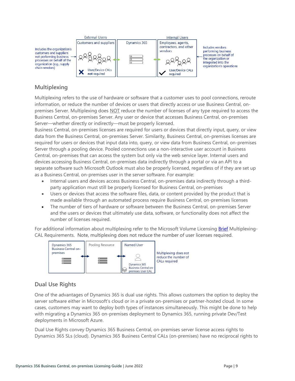

### <span id="page-11-0"></span>**Multiplexing**

Multiplexing refers to the use of hardware or software that a customer uses to pool connections, reroute information, or reduce the number of devices or users that directly access or use Business Central, onpremises Server. Multiplexing does NOT reduce the number of licenses of any type required to access the Business Central, on-premises Server. Any user or device that accesses Business Central, on-premises Server—whether directly or indirectly—must be properly licensed.

Business Central, on-premises licenses are required for users or devices that directly input, query, or view data from the Business Central, on-premises Server. Similarity, Business Central, on-premises licenses are required for users or devices that input data into, query, or view data from Business Central, on-premises Server through a pooling device. Pooled connections use a non-interactive user account in Business Central, on-premises that can access the system but only via the web service layer. Internal users and devices accessing Business Central, on-premises data indirectly through a portal or via an API to a separate software such Microsoft Outlook must also be properly licensed, regardless of if they are set up as a Business Central, on-premises user in the server software. For example:

- Internal users and devices access Business Central, on-premises data indirectly through a thirdparty application must still be properly licensed for Business Central, on-premises
- Users or devices that access the software files, data, or content provided by the product that is made available through an automated process require Business Central, on-premises licenses
- The number of tiers of hardware or software between the Business Central, on-premises Server and the users or devices that ultimately use data, software, or functionality does not affect the number of licenses required.

For additional information about multiplexing refer to the Microsoft Volume Licensing **Brief** Multiplexing-CAL Requirements. Note, multiplexing does not reduce the number of user licenses required.



### <span id="page-11-1"></span>**Dual Use Rights**

One of the advantages of Dynamics 365 is dual use rights. This allows customers the option to deploy the server software either in Microsoft's cloud or in a private on-premises or partner-hosted cloud. In some cases, customers may want to deploy both types of instances simultaneously. This might be done to help with migrating a Dynamics 365 on-premises deployment to Dynamics 365, running private Dev/Test deployments in Microsoft Azure.

Dual Use Rights convey Dynamics 365 Business Central, on-premises server license access rights to Dynamics 365 SLs (cloud). Dynamics 365 Business Central CALs (on-premises) have no reciprocal rights to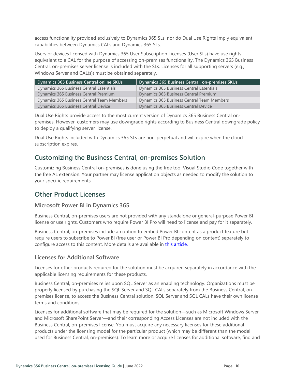access functionality provided exclusively to Dynamics 365 SLs, nor do Dual Use Rights imply equivalent capabilities between Dynamics CALs and Dynamics 365 SLs.

Users or devices licensed with Dynamics 365 User Subscription Licenses (User SLs) have use rights equivalent to a CAL for the purpose of accessing on-premises functionality. The Dynamics 365 Business Central, on-premises server license is included with the SLs. Licenses for all supporting servers (e.g., Windows Server and CAL(s)) must be obtained separately.

| Dynamics 365 Business Central online SKUs  | Dynamics 365 Business Central, on-premises SKUs |
|--------------------------------------------|-------------------------------------------------|
| Dynamics 365 Business Central Essentials   | Dynamics 365 Business Central Essentials        |
| Dynamics 365 Business Central Premium      | Dynamics 365 Business Central Premium           |
| Dynamics 365 Business Central Team Members | Dynamics 365 Business Central Team Members      |
| Dynamics 365 Business Central Device       | Dynamics 365 Business Central Device            |

Dual Use Rights provide access to the most current version of Dynamics 365 Business Central onpremises. However, customers may use downgrade rights according to Business Central downgrade policy to deploy a qualifying server license.

Dual Use Rights included with Dynamics 365 SLs are non-perpetual and will expire when the cloud subscription expires.

# <span id="page-12-0"></span>**Customizing the Business Central, on-premises Solution**

Customizing Business Central on-premises is done using the free tool Visual Studio Code together with the free AL extension. Your partner may license application objects as needed to modify the solution to your specific requirements.

# <span id="page-12-1"></span>**Other Product Licenses**

### <span id="page-12-2"></span>**Microsoft Power BI in Dynamics 365**

Business Central, on-premises users are not provided with any standalone or general-purpose Power BI license or use rights. Customers who require Power BI Pro will need to license and pay for it separately.

Business Central, on-premises include an option to embed Power BI content as a product feature but require users to subscribe to Power BI (free user or Power BI Pro depending on content) separately to configure access to this content. More details are available in [this article.](https://technet.microsoft.com/library/dn708055.aspx)

### <span id="page-12-3"></span>**Licenses for Additional Software**

Licenses for other products required for the solution must be acquired separately in accordance with the applicable licensing requirements for these products.

Business Central, on-premises relies upon SQL Server as an enabling technology. Organizations must be properly licensed by purchasing the SQL Server and SQL CALs separately from the Business Central, onpremises license, to access the Business Central solution. SQL Server and SQL CALs have their own license terms and conditions.

Licenses for additional software that may be required for the solution—such as Microsoft Windows Server and Microsoft SharePoint Server—and their corresponding Access Licenses are not included with the Business Central, on-premises license. You must acquire any necessary licenses for these additional products under the licensing model for the particular product (which may be different than the model used for Business Central, on-premises). To learn more or acquire licenses for additional software, find and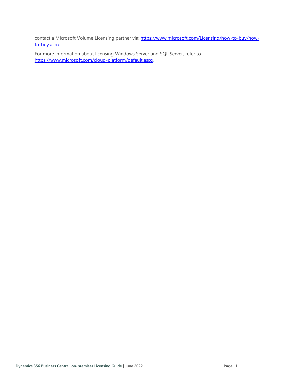contact a Microsoft Volume Licensing partner via: [https://www.microsoft.com/Licensing/how-to-buy/how](https://www.microsoft.com/Licensing/how-to-buy/how-to-buy.aspx)[to-buy.aspx.](https://www.microsoft.com/Licensing/how-to-buy/how-to-buy.aspx) 

For more information about licensing Windows Server and SQL Server, refer to [https://www.microsoft.com/cloud-platform/default.aspx.](https://www.microsoft.com/cloud-platform/default.aspx)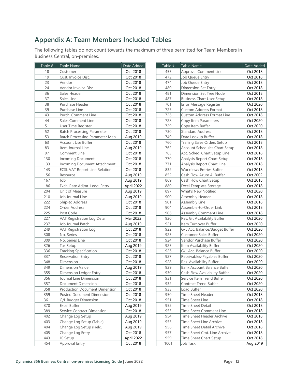# <span id="page-14-0"></span>**Appendix A: Team Members Included Tables**

The following tables do not count towards the maximum of three permitted for Team Members in Business Central, on-premises.

| Table # | <b>Table Name</b>                     | Date Added | Table # | Table Name                           | Date Added |
|---------|---------------------------------------|------------|---------|--------------------------------------|------------|
| 18      | Customer                              | Oct 2018   | 455     | Approval Comment Line                | Oct 2018   |
| 19      | Cust. Invoice Disc.                   | Oct 2018   | 472     | Job Queue Entry                      | Oct 2018   |
| 23      | Vendor                                | Oct 2018   | 474     | Job Queue Entry                      | Oct 2018   |
| 24      | Vendor Invoice Disc.                  | Oct 2018   | 480     | Dimension Set Entry                  | Oct 2018   |
| 36      | Sales Header                          | Oct 2018   | 481     | Dimension Set Tree Node              | Oct 2018   |
| 37      | Sales Line                            | Oct 2018   | 487     | <b>Business Chart User Setup</b>     | Oct 2018   |
| 38      | Purchase Header                       | Oct 2018   | 701     | Error Message Register               | Oct 2020   |
| 39      | Purchase Line                         | Oct 2018   | 725     | <b>Custom Address Format</b>         | Oct 2018   |
| 43      | Purch. Comment Line                   | Oct 2018   | 726     | <b>Custom Address Format Line</b>    | Oct 2018   |
| 44      | Sales Comment Line                    | Oct 2018   | 728     | Copy Item Parameters                 | Oct 2020   |
| 51      | <b>User Time Register</b>             | Oct 2018   | 729     | Copy Item Buffer                     | Oct 2020   |
| 52      | <b>Batch Processing Parameter</b>     | Oct 2018   | 730     | <b>Standard Address</b>              | Oct 2018   |
| 53      | <b>Batch Processing Parameter Map</b> | Aug 2019   | 749     | Date Lookup Buffer                   | Oct 2018   |
| 63      | Account Use Buffer                    | Oct 2018   | 760     | Trailing Sales Orders Setup          | Oct 2018   |
| 83      | Item Journal Line                     | Aug 2019   | 762     | <b>Account Schedules Chart Setup</b> | Oct 2018   |
| 97      | Comment Line                          | Oct 2018   | 763     | Acc. Sched. Chart Setup Line         | Oct 2018   |
| 130     | Incoming Document                     | Oct 2018   | 770     | Analysis Report Chart Setup          | Oct 2018   |
| 133     | Incoming Document Attachment          | Oct 2018   | 771     | Analysis Report Chart Line           | Oct 2018   |
| 143     | <b>ECSL VAT Report Line Relation</b>  | Oct 2018   | 832     | <b>Workflows Entries Buffer</b>      | Oct 2018   |
| 156     | Resource                              | Aug 2019   | 852     | Cash Flow Azure AI Buffer            | Oct 2002   |
| 167     | Job                                   | Aug 2019   | 869     | Cash Flow Chart Setup                | Oct 2018   |
| 186     | Exch. Rate Adjmt. Ledg. Entry         | April 2022 | 880     | Excel Template Storage               | Oct 2018   |
| 204     | Unit of Measure                       | Aug 2019   | 897     | What's New Notified                  | Oct 2020   |
| 210     | Job Journal Line                      | Aug 2019   | 900     | Assembly Header                      | Oct 2018   |
| 222     | Ship-to Address                       | Oct 2018   | 901     | Assembly Line                        | Oct 2018   |
| 224     | Order Address                         | Oct 2018   | 904     | Assemble-to-Order Link               | Oct 2018   |
| 225     | Post Code                             | Oct 2018   | 906     | <b>Assembly Comment Line</b>         | Oct 2018   |
| 227     | VAT Registration Log Detail           | Mar 2022   | 920     | Res. Gr. Availability Buffer         | Oct 2020   |
| 237     | Job Journal Batch                     | Aug 2019   | 921     | Item Turnover Buffer                 | Oct 2020   |
| 249     | <b>VAT Registration Log</b>           | Oct 2018   | 922     | G/L Acc. Balance/Budget Buffer       | Oct 2020   |
| 308     | No. Series                            | Oct 2018   | 923     | <b>Customer Sales Buffer</b>         | Oct 2020   |
| 309     | No. Series Line                       | Oct 2018   | 924     | Vendor Purchase Buffer               | Oct 2020   |
| 326     | <b>Tax Setup</b>                      | Aug 2019   | 925     | Item Availability Buffer             | Oct 2020   |
| 336     | Tracking Specification                | Oct 2018   | 926     | G/L Acc. Balance Buffer              | Oct 2020   |
| 337     | <b>Reservation Entry</b>              | Oct 2018   | 927     | Receivables-Payables Buffer          | Oct 2020   |
| 348     | Dimension                             | Oct 2018   | 928     | Res. Availability Buffer             | Oct 2020   |
| 349     | Dimension Value                       | Aug 2019   | 929     | Bank Account Balance Buffer          | Oct 2020   |
| 355     | Dimension Ledger Entry                | Oct 2018   | 930     | Cash Flow Availability Buffer        | Oct 2020   |
| 356     | Journal Line Dimension                | Oct 2018   | 931     | Service Item Trend Buffer            | Oct 2020   |
| 357     | Document Dimension                    | Oct 2018   | 932     | <b>Contract Trend Buffer</b>         | Oct 2020   |
| 358     | <b>Production Document Dimension</b>  | Oct 2018   | 933     | Load Buffer                          | Oct 2020   |
| 359     | Posted Document Dimension             | Oct 2018   | 950     | Time Sheet Header                    | Oct 2018   |
| 361     | G/L Budget Dimension                  | Oct 2018   | 951     | Time Sheet Line                      | Oct 2018   |
| 370     | Excel Buffer                          | Aug 2019   | 952     | Time Sheet Detail                    | Oct 2018   |
| 389     | Service Contract Dimension            | Oct 2018   | 953     | Time Sheet Comment Line              | Oct 2018   |
| 402     | Change Log Setup                      | Aug 2019   | 954     | Time Sheet Header Archive            | Oct 2018   |
| 403     | Change Log Setup (Table)              | Aug 2019   | 955     | Time Sheet Line Archive              | Oct 2018   |
| 404     | Change Log Setup (Field)              | Aug 2019   | 956     | Time Sheet Detail Archive            | Oct 2018   |
| 405     | Change Log Entry                      | Oct 2018   | 957     | Time Sheet Cmt. Line Archive         | Oct 2018   |
| 443     | IC Setup                              | April 2022 | 959     | Time Sheet Chart Setup               | Oct 2018   |
| 454     | Approval Entry                        | Oct 2018   | 1001    | Job Task                             | Aug 2019   |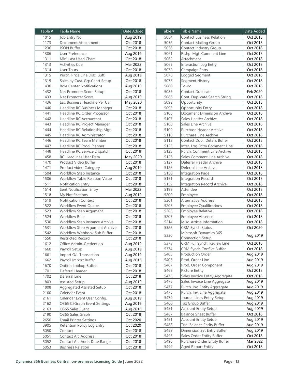| Table #<br>Table Name                        | Date Added |
|----------------------------------------------|------------|
| 1015<br>Job Entry No.                        | Aug 2019   |
| 1173<br>Document Attachment                  | Oct 2018   |
| 1236<br>JSON Buffer                          | Oct 2018   |
| <b>User Preference</b><br>1306               | Aug 2019   |
| 1311<br>Mini Last Used Chart                 | Oct 2018   |
| 1313<br><b>Activities Cue</b>                | Mar 2022   |
| 1314<br>User Tours                           | Oct 2018   |
| Purch. Price Line Disc. Buff.<br>1315        | Aug 2019   |
| 1319<br>Sales by Cust. Grp.Chart Setup       | Oct 2018   |
| <b>Role Center Notifications</b><br>1430     | Aug 2019   |
| Net Promoter Score Setup<br>1432             | Oct 2018   |
| 1433<br>Net Promoter Score                   | Aug 2019   |
| Ess. Business Headline Per Usr<br>1436       | May 2020   |
| 1440<br>Headline RC Business Manager         | Oct 2018   |
| 1441<br>Headline RC Order Processor          | Oct 2018   |
| 1442<br>Headline RC Accountant               | Oct 2018   |
| 1443<br>Headline RC Project Manager          | Oct 2018   |
| 1444<br>Headline RC Relationship Mgt         | Oct 2018   |
| 1445<br>Headline RC Administrator            | Oct 2018   |
| Headline RC Team Member<br>1446              | Oct 2018   |
| Headline RC Prod. Planner<br>1447            | Oct 2018   |
| Headline RC Service Dispatch<br>1448         | Oct 2018   |
| RC Headlines User Data<br>1458               | May 2020   |
| Product Video Buffer<br>1470                 | Oct 2018   |
| 1471<br>Product video Category               | Aug 2019   |
| 1504<br>Workflow Step Instance               | Oct 2018   |
| 1506<br><b>Workflow Table Relation Value</b> | Oct 2018   |
| 1511<br>Notification Entry                   | Oct 2018   |
| 1514<br>Sent Notification Entry              | Mar 2022   |
| 1518<br>My Notifications                     | Aug 2019   |
| 1519<br>Notification Context                 | Oct 2018   |
| Workflow Event Queue<br>1522                 | Oct 2018   |
| 1523<br>Workflow Step Argument               | Oct 2018   |
| Workflow Rule                                | Oct 2018   |
| 1524                                         |            |
| Workflow Step Instance Archive<br>1530       | Oct 2018   |
| 1531<br>Workflow Step Argument Archive       | Oct 2018   |
| 1542<br>Workflow Webhook Sub Buffer          | Oct 2018   |
| 1550<br>Restricted Record                    | Oct 2018   |
| 1612<br>Office Admin. Credentials            | Aug 2019   |
| 1660<br>Payroll Setup                        | Aug 2019   |
| 1661<br>Import G/L Transaction               | Aug 2019   |
| 1662<br>Payroll Import Buffer                | Aug 2019   |
| 1670<br>Option Lookup Buffer                 | Oct 2018   |
| Deferral Header<br>1701                      | Oct 2018   |
| 1702<br>Deferral Line                        | Oct 2018   |
| 1803<br>Assisted Setup                       | Aug 2019   |
| 1808<br>Aggregated Assisted Setup            | Oct 2018   |
| Calendar Event<br>2160                       | Oct 2018   |
| 2161<br>Calendar Event User Config.          | Aug 2019   |
| O365 C2Graph Event Settings<br>2162          | Aug 2019   |
| 2163<br>O365 Sales Event                     | Aug 2019   |
| 2190<br>O365 Sales Graph                     | Oct 2018   |
| 2650<br><b>Email Printer Settings</b>        | Oct 2020   |
| 3905<br>Retention Policy Log Entry           | Oct 2020   |
| 5050<br>Contact                              | Oct 2018   |
| 5051<br>Contact Alt. Address                 | Oct 2018   |
| 5052<br>Contact Alt. Addr. Date Range        | Oct 2018   |
| 5053<br><b>Business Relation</b>             | Oct 2018   |

| Table # | <b>Table Name</b>                  | Date Added |
|---------|------------------------------------|------------|
| 5054    | <b>Contact Business Relation</b>   | Oct 2018   |
| 5056    | <b>Contact Mailing Group</b>       | Oct 2018   |
| 5058    | Contact Industry Group             | Oct 2018   |
| 5061    | Rlshp. Mgt. Comment Line           | Oct 2018   |
| 5062    | Attachment                         | Oct 2018   |
| 5065    | Interaction Log Entry              | Oct 2018   |
| 5072    | Campaign Entry                     | Oct 2018   |
| 5075    | Logged Segment                     | Oct 2018   |
| 5078    | Segment History                    | Oct 2018   |
| 5080    | To-do                              | Oct 2018   |
| 5085    | Contact Duplicate                  | Feb 2020   |
| 5086    | Cont. Duplicate Search String      | Oct 2018   |
| 5092    | Opportunity                        | Oct 2018   |
| 5093    | Opportunity Entry                  | Oct 2018   |
| 5106    | Document Dimension Archive         | Oct 2018   |
| 5107    | Sales Header Archive               | Oct 2018   |
| 5108    | Sales Line Archive                 | Oct 2018   |
| 5109    | Purchase Header Archive            | Oct 2018   |
| 5110    | Purchase Line Archive              | Oct 2018   |
| 5113    | Contact Dupl. Details Buffer       | Oct 2018   |
| 5123    | Inter. Log Entry Comment Line      | Oct 2018   |
| 5125    | Purch. Comment Line Archive        | Oct 2018   |
| 5126    | Sales Comment Line Archive         | Oct 2018   |
| 5127    | Deferral Header Archive            | Oct 2018   |
| 5128    | Deferral Line Archive              | Oct 2018   |
| 5150    | Integration Page                   | Oct 2018   |
| 5151    | Integration Record                 | Oct 2018   |
| 5152    | <b>Integration Record Archive</b>  | Oct 2018   |
| 5199    | Attendee                           | Oct 2018   |
| 5200    | Employee                           | Oct 2018   |
| 5201    | <b>Alternative Address</b>         | Oct 2018   |
| 5203    | <b>Employee Qualifications</b>     | Oct 2018   |
| 5205    | <b>Employee Relative</b>           | Oct 2018   |
| 5207    | Employee Absence                   | Oct 2018   |
| 5214    | Misc. Article Information          | Oct 2018   |
| 5328    | <b>CRM Synch Status</b>            | Oct 2020   |
|         | Microsoft Dynamics 365             |            |
| 5330    | Connection Setup                   | Aug 2019   |
| 5373    | CRM Full Synch. Review Line        | Oct 2018   |
| 5374    | CRM Synch Conflict Buffer          | Oct 2018   |
| 5405    | Production Order                   | Aug 2019   |
| 5406    | Prod. Order Line                   | Aug 2019   |
| 5407    | Prod. Order Component              | Aug 2019   |
| 5468    | <b>Picture Entity</b>              | Oct 2018   |
| 5475    | Sales Invoice Entity Aggregate     | Oct 2018   |
| 5476    | Sales Invoice Line Aggregate       | Aug 2019   |
| 5477    | Purch. Inv. Entity Aggregate       | Aug 2019   |
| 5478    | Purch. Inv. Line Aggregate         | Aug 2019   |
| 5479    | Journal Lines Entity Setup         | Aug 2019   |
| 5480    | Tax Group Buffer                   | Aug 2019   |
| 5481    | <b>Account Entity Setup</b>        | Aug 2019   |
| 5487    | <b>Balance Sheet Buffer</b>        | Oct 2018   |
| 5481    | <b>Account Entity Setup</b>        | Aug 2019   |
| 5488    | <b>Trial Balance Entity Buffer</b> | Aug 2019   |
| 5489    | Dimension Set Entry Buffer         | Aug 2019   |
| 5495    | Sales Order Entity Buffer          | Oct 2018   |
| 5496    | Purchase Order Entity Buffer       | Mar 2022   |
| 5499    | Aged Report Entity                 | Oct 2018   |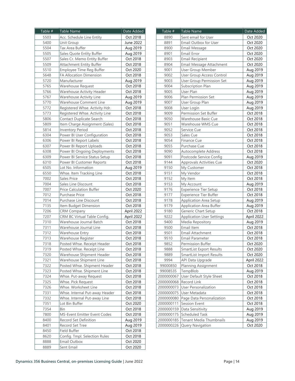| Table #      | <b>Table Name</b>                                       | Date Added |
|--------------|---------------------------------------------------------|------------|
| 5503         | Acc. Schedule Line Entity                               | Oct 2018   |
| 5400         | Unit Group                                              | June 2022  |
| 5504         | Tax Area Buffer                                         | Aug 2019   |
| 5505         | Sales Quote Entity Buffer                               | Aug 2019   |
| 5507         | Sales Cr. Memo Entity Buffer                            | Oct 2018   |
| 5509         | Attachment Entity Buffer                                | Oct 2018   |
| 5510         | Employee Time Reg Buffer                                | Oct 2020   |
| 5648         | FA Allocation Dimension                                 | Oct 2018   |
| 5720         | Manufacturer                                            | Aug 2019   |
| 5765         | Warehouse Request                                       | Oct 2018   |
| 5766         | Warehouse Activity Header                               | Oct 2018   |
| 5767         | Warehouse Activity Line                                 | Aug 2019   |
| 5770         | Warehouse Comment Line                                  | Aug 2019   |
| 5772         | Registered Whse. Activity Hdr.                          | Oct 2018   |
| 5773         | Registered Whse. Activity Line                          | Oct 2018   |
| 5806         | Contact Duplicate Search                                | Oct 2018   |
| 5809         | Item Charge Assignment (Sales)                          | Oct 2018   |
| 5814         | <b>Inventory Period</b>                                 | Oct 2018   |
| 6304         | Power BI User Configuration                             | Oct 2018   |
| 6306         | Power BI Report Labels                                  | Oct 2018   |
| 6307         | Power BI Report Uploads                                 | Oct 2018   |
| 6308         | Power BI Ongoing Deployments                            | Oct 2018   |
| 6309         | Power BI Service Status Setup                           | Oct 2018   |
| 6310         | Power BI Customer Reports                               | Oct 2018   |
| 6505         | Lot No. Information                                     | Aug 2019   |
| 6550         | Whse. Item Tracking Line                                | Oct 2018   |
| 7002         | <b>Sales Price</b>                                      | Oct 2018   |
| 7004         | Sales Line Discount                                     | Oct 2018   |
| 7007         | <b>Price Calculation Buffer</b>                         | Oct 2020   |
| 7012         | Purchase Price                                          | Oct 2018   |
| 7014         | Purchase Line Discount                                  | Oct 2018   |
|              |                                                         | Oct 2018   |
| 7135<br>7206 | Item Budget Dimension                                   |            |
|              | <b>CRM Company</b>                                      | April 2022 |
| 7207         | CRM BC Virtual Table Config.<br>Warehouse Journal Batch | April 2022 |
| 7310         |                                                         | Oct 2018   |
| 7311         | Warehouse Journal Line                                  | Oct 2018   |
| 7312         | Warehouse Entry                                         | Oct 2018   |
| 7313         | Warehouse Register                                      | Oct 2018   |
| 7318         | Posted Whse. Receipt Header                             | Oct 2018   |
| 7319         | Posted Whse. Receipt Line                               | Oct 2018   |
| 7320         | Warehouse Shipment Header                               | Oct 2018   |
| 7321         | Warehouse Shipment Line                                 | Oct 2018   |
| 7322         | Posted Whse. Shipment Header                            | Oct 2018   |
| 7323         | Posted Whse. Shipment Line                              | Oct 2018   |
| 7324         | Whse. Put-away Request                                  | Oct 2018   |
| 7325         | Whse. Pick Request                                      | Oct 2018   |
| 7326         | Whse. Worksheet Line                                    | Oct 2018   |
| 7331         | Whse. Internal Put-away Header                          | Oct 2018   |
| 7332         | Whse. Internal Put-away Line                            | Oct 2018   |
| 7351         | Lot Bin Buffer                                          | Oct 2020   |
| 7354         | Bin                                                     | Oct 2018   |
| 7800         | MS-Event Emitter Event Codes                            | Oct 2018   |
| 8400         | Record Set Definition                                   | Aug 2019   |
| 8401         | Record Set Tree                                         | Aug 2019   |
| 8450         | Field Buffer                                            | Oct 2018   |
| 8620         | Config. Tmpl. Selection Rules                           | Oct 2018   |
| 8888         | Email Outbox                                            | Oct 2020   |
| 8889         | Sent Email                                              | Oct 2020   |
|              |                                                         |            |

| 8890<br>Sent email for User<br>Oct 2020<br>8891<br>Email Outbox for User<br>Oct 2020<br>8900<br><b>Email Message</b><br>Oct 2020<br>8901<br>Email Error<br>Oct 2020<br>8903<br>Oct 2020<br><b>Email Recipient</b><br>Oct 2020<br>8904<br>Email Message Attachment<br>9001<br>User Group Member<br>Aug 2019<br>9002<br>User Group Access Control<br>Aug 2019<br>9003<br><b>User Group Permission Set</b><br>Aug 2019<br>9004<br>Subscription Plan<br>Aug 2019<br>9005<br>Aug 2019<br>User Plan<br>9006<br>Plan Permission Set<br>Aug 2019<br>9007<br>User Group Plan<br>Aug 2019<br>Aug 2019<br>9008<br>User Login<br>9009<br>Permission Set Buffer<br>Oct 2018<br>9050<br>Warehouse Basic Cue<br>Oct 2018<br>9051<br>Warehouse WMS Cue<br>Oct 2018<br>9052<br>Service Cue<br>Oct 2018<br>9053<br>Oct 2018<br>Sales Cue<br>9054<br>Oct 2018<br><b>Finance Cue</b><br>9055<br>Oct 2018<br>Purchase Cue<br>Oct 2018<br>9090<br>Autocomplete Address<br>9091<br>Postcode Service Config<br>Aug 2019<br>9144<br>Approvals Activities Cue<br>Oct 2020<br>9150<br>My Customer<br>Oct 2018<br>My Vendor<br>Oct 2018<br>9151<br>9152<br>Oct 2018<br>My Item<br>9153<br>My Account<br>Aug 2019<br>9176<br>Experience Tier Setup<br>Oct 2018<br>9177<br>Experience Tier Buffer<br>Oct 2018<br>Aug 2019<br>Application Area Setup<br>9178<br>9179<br><b>Application Area Buffer</b><br>Aug 2019<br>9180<br>Generic Chart Setup<br>Oct 2018<br>9222<br><b>Application User Settings</b><br>April 2022<br>9400<br>Media Repository<br>Aug 2019<br>Oct 2018<br>9500<br>Email Item<br>9501<br>Email Attachment<br>Oct 2018<br>9510<br>Oct 2018<br>Email Parameter<br>9852<br>Oct $2020$<br>Permission Buffer<br><b>SmartList Export Results</b><br>Oct 2020<br>9888<br><b>SmartList Import Results</b><br>Oct 2020<br>9889<br>9994<br>API Data Upgrade<br>April 2022<br><b>Planning Assignment</b><br>99000850<br>Oct 2018<br>99008535<br>TempBlob<br>Aug 2019<br>User Default Style Sheet<br>Oct 2018<br>2000000067<br>2000000068<br>Oct 2018<br>Record Link<br><b>User Personalization</b><br>2000000073<br>Oct 2018<br>2000000075<br>User Metadata<br>Oct 2018<br>Page Data Personalization<br>2000000080<br>Oct 2018<br>2000000111<br>Session Event<br>Oct 2018<br>2000000159<br>Data Sensitivity<br>Aug 2019<br>2000000175<br>Scheduled Task<br>Aug 2019<br>Tenant Media Thumbnails<br>2000000185<br>Aug 2019<br>2000000226<br>Query Navigation<br>Oct 2020 | Table # | Table Name | Date Added |
|--------------------------------------------------------------------------------------------------------------------------------------------------------------------------------------------------------------------------------------------------------------------------------------------------------------------------------------------------------------------------------------------------------------------------------------------------------------------------------------------------------------------------------------------------------------------------------------------------------------------------------------------------------------------------------------------------------------------------------------------------------------------------------------------------------------------------------------------------------------------------------------------------------------------------------------------------------------------------------------------------------------------------------------------------------------------------------------------------------------------------------------------------------------------------------------------------------------------------------------------------------------------------------------------------------------------------------------------------------------------------------------------------------------------------------------------------------------------------------------------------------------------------------------------------------------------------------------------------------------------------------------------------------------------------------------------------------------------------------------------------------------------------------------------------------------------------------------------------------------------------------------------------------------------------------------------------------------------------------------------------------------------------------------------------------------------------------------------------------------------------------------------------------------------------------------------------------------------------------------------------------------------------------------------------------------------------------------------------------------------------------------------------------------------------------------------------|---------|------------|------------|
|                                                                                                                                                                                                                                                                                                                                                                                                                                                                                                                                                                                                                                                                                                                                                                                                                                                                                                                                                                                                                                                                                                                                                                                                                                                                                                                                                                                                                                                                                                                                                                                                                                                                                                                                                                                                                                                                                                                                                                                                                                                                                                                                                                                                                                                                                                                                                                                                                                                  |         |            |            |
|                                                                                                                                                                                                                                                                                                                                                                                                                                                                                                                                                                                                                                                                                                                                                                                                                                                                                                                                                                                                                                                                                                                                                                                                                                                                                                                                                                                                                                                                                                                                                                                                                                                                                                                                                                                                                                                                                                                                                                                                                                                                                                                                                                                                                                                                                                                                                                                                                                                  |         |            |            |
|                                                                                                                                                                                                                                                                                                                                                                                                                                                                                                                                                                                                                                                                                                                                                                                                                                                                                                                                                                                                                                                                                                                                                                                                                                                                                                                                                                                                                                                                                                                                                                                                                                                                                                                                                                                                                                                                                                                                                                                                                                                                                                                                                                                                                                                                                                                                                                                                                                                  |         |            |            |
|                                                                                                                                                                                                                                                                                                                                                                                                                                                                                                                                                                                                                                                                                                                                                                                                                                                                                                                                                                                                                                                                                                                                                                                                                                                                                                                                                                                                                                                                                                                                                                                                                                                                                                                                                                                                                                                                                                                                                                                                                                                                                                                                                                                                                                                                                                                                                                                                                                                  |         |            |            |
|                                                                                                                                                                                                                                                                                                                                                                                                                                                                                                                                                                                                                                                                                                                                                                                                                                                                                                                                                                                                                                                                                                                                                                                                                                                                                                                                                                                                                                                                                                                                                                                                                                                                                                                                                                                                                                                                                                                                                                                                                                                                                                                                                                                                                                                                                                                                                                                                                                                  |         |            |            |
|                                                                                                                                                                                                                                                                                                                                                                                                                                                                                                                                                                                                                                                                                                                                                                                                                                                                                                                                                                                                                                                                                                                                                                                                                                                                                                                                                                                                                                                                                                                                                                                                                                                                                                                                                                                                                                                                                                                                                                                                                                                                                                                                                                                                                                                                                                                                                                                                                                                  |         |            |            |
|                                                                                                                                                                                                                                                                                                                                                                                                                                                                                                                                                                                                                                                                                                                                                                                                                                                                                                                                                                                                                                                                                                                                                                                                                                                                                                                                                                                                                                                                                                                                                                                                                                                                                                                                                                                                                                                                                                                                                                                                                                                                                                                                                                                                                                                                                                                                                                                                                                                  |         |            |            |
|                                                                                                                                                                                                                                                                                                                                                                                                                                                                                                                                                                                                                                                                                                                                                                                                                                                                                                                                                                                                                                                                                                                                                                                                                                                                                                                                                                                                                                                                                                                                                                                                                                                                                                                                                                                                                                                                                                                                                                                                                                                                                                                                                                                                                                                                                                                                                                                                                                                  |         |            |            |
|                                                                                                                                                                                                                                                                                                                                                                                                                                                                                                                                                                                                                                                                                                                                                                                                                                                                                                                                                                                                                                                                                                                                                                                                                                                                                                                                                                                                                                                                                                                                                                                                                                                                                                                                                                                                                                                                                                                                                                                                                                                                                                                                                                                                                                                                                                                                                                                                                                                  |         |            |            |
|                                                                                                                                                                                                                                                                                                                                                                                                                                                                                                                                                                                                                                                                                                                                                                                                                                                                                                                                                                                                                                                                                                                                                                                                                                                                                                                                                                                                                                                                                                                                                                                                                                                                                                                                                                                                                                                                                                                                                                                                                                                                                                                                                                                                                                                                                                                                                                                                                                                  |         |            |            |
|                                                                                                                                                                                                                                                                                                                                                                                                                                                                                                                                                                                                                                                                                                                                                                                                                                                                                                                                                                                                                                                                                                                                                                                                                                                                                                                                                                                                                                                                                                                                                                                                                                                                                                                                                                                                                                                                                                                                                                                                                                                                                                                                                                                                                                                                                                                                                                                                                                                  |         |            |            |
|                                                                                                                                                                                                                                                                                                                                                                                                                                                                                                                                                                                                                                                                                                                                                                                                                                                                                                                                                                                                                                                                                                                                                                                                                                                                                                                                                                                                                                                                                                                                                                                                                                                                                                                                                                                                                                                                                                                                                                                                                                                                                                                                                                                                                                                                                                                                                                                                                                                  |         |            |            |
|                                                                                                                                                                                                                                                                                                                                                                                                                                                                                                                                                                                                                                                                                                                                                                                                                                                                                                                                                                                                                                                                                                                                                                                                                                                                                                                                                                                                                                                                                                                                                                                                                                                                                                                                                                                                                                                                                                                                                                                                                                                                                                                                                                                                                                                                                                                                                                                                                                                  |         |            |            |
|                                                                                                                                                                                                                                                                                                                                                                                                                                                                                                                                                                                                                                                                                                                                                                                                                                                                                                                                                                                                                                                                                                                                                                                                                                                                                                                                                                                                                                                                                                                                                                                                                                                                                                                                                                                                                                                                                                                                                                                                                                                                                                                                                                                                                                                                                                                                                                                                                                                  |         |            |            |
|                                                                                                                                                                                                                                                                                                                                                                                                                                                                                                                                                                                                                                                                                                                                                                                                                                                                                                                                                                                                                                                                                                                                                                                                                                                                                                                                                                                                                                                                                                                                                                                                                                                                                                                                                                                                                                                                                                                                                                                                                                                                                                                                                                                                                                                                                                                                                                                                                                                  |         |            |            |
|                                                                                                                                                                                                                                                                                                                                                                                                                                                                                                                                                                                                                                                                                                                                                                                                                                                                                                                                                                                                                                                                                                                                                                                                                                                                                                                                                                                                                                                                                                                                                                                                                                                                                                                                                                                                                                                                                                                                                                                                                                                                                                                                                                                                                                                                                                                                                                                                                                                  |         |            |            |
|                                                                                                                                                                                                                                                                                                                                                                                                                                                                                                                                                                                                                                                                                                                                                                                                                                                                                                                                                                                                                                                                                                                                                                                                                                                                                                                                                                                                                                                                                                                                                                                                                                                                                                                                                                                                                                                                                                                                                                                                                                                                                                                                                                                                                                                                                                                                                                                                                                                  |         |            |            |
|                                                                                                                                                                                                                                                                                                                                                                                                                                                                                                                                                                                                                                                                                                                                                                                                                                                                                                                                                                                                                                                                                                                                                                                                                                                                                                                                                                                                                                                                                                                                                                                                                                                                                                                                                                                                                                                                                                                                                                                                                                                                                                                                                                                                                                                                                                                                                                                                                                                  |         |            |            |
|                                                                                                                                                                                                                                                                                                                                                                                                                                                                                                                                                                                                                                                                                                                                                                                                                                                                                                                                                                                                                                                                                                                                                                                                                                                                                                                                                                                                                                                                                                                                                                                                                                                                                                                                                                                                                                                                                                                                                                                                                                                                                                                                                                                                                                                                                                                                                                                                                                                  |         |            |            |
|                                                                                                                                                                                                                                                                                                                                                                                                                                                                                                                                                                                                                                                                                                                                                                                                                                                                                                                                                                                                                                                                                                                                                                                                                                                                                                                                                                                                                                                                                                                                                                                                                                                                                                                                                                                                                                                                                                                                                                                                                                                                                                                                                                                                                                                                                                                                                                                                                                                  |         |            |            |
|                                                                                                                                                                                                                                                                                                                                                                                                                                                                                                                                                                                                                                                                                                                                                                                                                                                                                                                                                                                                                                                                                                                                                                                                                                                                                                                                                                                                                                                                                                                                                                                                                                                                                                                                                                                                                                                                                                                                                                                                                                                                                                                                                                                                                                                                                                                                                                                                                                                  |         |            |            |
|                                                                                                                                                                                                                                                                                                                                                                                                                                                                                                                                                                                                                                                                                                                                                                                                                                                                                                                                                                                                                                                                                                                                                                                                                                                                                                                                                                                                                                                                                                                                                                                                                                                                                                                                                                                                                                                                                                                                                                                                                                                                                                                                                                                                                                                                                                                                                                                                                                                  |         |            |            |
|                                                                                                                                                                                                                                                                                                                                                                                                                                                                                                                                                                                                                                                                                                                                                                                                                                                                                                                                                                                                                                                                                                                                                                                                                                                                                                                                                                                                                                                                                                                                                                                                                                                                                                                                                                                                                                                                                                                                                                                                                                                                                                                                                                                                                                                                                                                                                                                                                                                  |         |            |            |
|                                                                                                                                                                                                                                                                                                                                                                                                                                                                                                                                                                                                                                                                                                                                                                                                                                                                                                                                                                                                                                                                                                                                                                                                                                                                                                                                                                                                                                                                                                                                                                                                                                                                                                                                                                                                                                                                                                                                                                                                                                                                                                                                                                                                                                                                                                                                                                                                                                                  |         |            |            |
|                                                                                                                                                                                                                                                                                                                                                                                                                                                                                                                                                                                                                                                                                                                                                                                                                                                                                                                                                                                                                                                                                                                                                                                                                                                                                                                                                                                                                                                                                                                                                                                                                                                                                                                                                                                                                                                                                                                                                                                                                                                                                                                                                                                                                                                                                                                                                                                                                                                  |         |            |            |
|                                                                                                                                                                                                                                                                                                                                                                                                                                                                                                                                                                                                                                                                                                                                                                                                                                                                                                                                                                                                                                                                                                                                                                                                                                                                                                                                                                                                                                                                                                                                                                                                                                                                                                                                                                                                                                                                                                                                                                                                                                                                                                                                                                                                                                                                                                                                                                                                                                                  |         |            |            |
|                                                                                                                                                                                                                                                                                                                                                                                                                                                                                                                                                                                                                                                                                                                                                                                                                                                                                                                                                                                                                                                                                                                                                                                                                                                                                                                                                                                                                                                                                                                                                                                                                                                                                                                                                                                                                                                                                                                                                                                                                                                                                                                                                                                                                                                                                                                                                                                                                                                  |         |            |            |
|                                                                                                                                                                                                                                                                                                                                                                                                                                                                                                                                                                                                                                                                                                                                                                                                                                                                                                                                                                                                                                                                                                                                                                                                                                                                                                                                                                                                                                                                                                                                                                                                                                                                                                                                                                                                                                                                                                                                                                                                                                                                                                                                                                                                                                                                                                                                                                                                                                                  |         |            |            |
|                                                                                                                                                                                                                                                                                                                                                                                                                                                                                                                                                                                                                                                                                                                                                                                                                                                                                                                                                                                                                                                                                                                                                                                                                                                                                                                                                                                                                                                                                                                                                                                                                                                                                                                                                                                                                                                                                                                                                                                                                                                                                                                                                                                                                                                                                                                                                                                                                                                  |         |            |            |
|                                                                                                                                                                                                                                                                                                                                                                                                                                                                                                                                                                                                                                                                                                                                                                                                                                                                                                                                                                                                                                                                                                                                                                                                                                                                                                                                                                                                                                                                                                                                                                                                                                                                                                                                                                                                                                                                                                                                                                                                                                                                                                                                                                                                                                                                                                                                                                                                                                                  |         |            |            |
|                                                                                                                                                                                                                                                                                                                                                                                                                                                                                                                                                                                                                                                                                                                                                                                                                                                                                                                                                                                                                                                                                                                                                                                                                                                                                                                                                                                                                                                                                                                                                                                                                                                                                                                                                                                                                                                                                                                                                                                                                                                                                                                                                                                                                                                                                                                                                                                                                                                  |         |            |            |
|                                                                                                                                                                                                                                                                                                                                                                                                                                                                                                                                                                                                                                                                                                                                                                                                                                                                                                                                                                                                                                                                                                                                                                                                                                                                                                                                                                                                                                                                                                                                                                                                                                                                                                                                                                                                                                                                                                                                                                                                                                                                                                                                                                                                                                                                                                                                                                                                                                                  |         |            |            |
|                                                                                                                                                                                                                                                                                                                                                                                                                                                                                                                                                                                                                                                                                                                                                                                                                                                                                                                                                                                                                                                                                                                                                                                                                                                                                                                                                                                                                                                                                                                                                                                                                                                                                                                                                                                                                                                                                                                                                                                                                                                                                                                                                                                                                                                                                                                                                                                                                                                  |         |            |            |
|                                                                                                                                                                                                                                                                                                                                                                                                                                                                                                                                                                                                                                                                                                                                                                                                                                                                                                                                                                                                                                                                                                                                                                                                                                                                                                                                                                                                                                                                                                                                                                                                                                                                                                                                                                                                                                                                                                                                                                                                                                                                                                                                                                                                                                                                                                                                                                                                                                                  |         |            |            |
|                                                                                                                                                                                                                                                                                                                                                                                                                                                                                                                                                                                                                                                                                                                                                                                                                                                                                                                                                                                                                                                                                                                                                                                                                                                                                                                                                                                                                                                                                                                                                                                                                                                                                                                                                                                                                                                                                                                                                                                                                                                                                                                                                                                                                                                                                                                                                                                                                                                  |         |            |            |
|                                                                                                                                                                                                                                                                                                                                                                                                                                                                                                                                                                                                                                                                                                                                                                                                                                                                                                                                                                                                                                                                                                                                                                                                                                                                                                                                                                                                                                                                                                                                                                                                                                                                                                                                                                                                                                                                                                                                                                                                                                                                                                                                                                                                                                                                                                                                                                                                                                                  |         |            |            |
|                                                                                                                                                                                                                                                                                                                                                                                                                                                                                                                                                                                                                                                                                                                                                                                                                                                                                                                                                                                                                                                                                                                                                                                                                                                                                                                                                                                                                                                                                                                                                                                                                                                                                                                                                                                                                                                                                                                                                                                                                                                                                                                                                                                                                                                                                                                                                                                                                                                  |         |            |            |
|                                                                                                                                                                                                                                                                                                                                                                                                                                                                                                                                                                                                                                                                                                                                                                                                                                                                                                                                                                                                                                                                                                                                                                                                                                                                                                                                                                                                                                                                                                                                                                                                                                                                                                                                                                                                                                                                                                                                                                                                                                                                                                                                                                                                                                                                                                                                                                                                                                                  |         |            |            |
|                                                                                                                                                                                                                                                                                                                                                                                                                                                                                                                                                                                                                                                                                                                                                                                                                                                                                                                                                                                                                                                                                                                                                                                                                                                                                                                                                                                                                                                                                                                                                                                                                                                                                                                                                                                                                                                                                                                                                                                                                                                                                                                                                                                                                                                                                                                                                                                                                                                  |         |            |            |
|                                                                                                                                                                                                                                                                                                                                                                                                                                                                                                                                                                                                                                                                                                                                                                                                                                                                                                                                                                                                                                                                                                                                                                                                                                                                                                                                                                                                                                                                                                                                                                                                                                                                                                                                                                                                                                                                                                                                                                                                                                                                                                                                                                                                                                                                                                                                                                                                                                                  |         |            |            |
|                                                                                                                                                                                                                                                                                                                                                                                                                                                                                                                                                                                                                                                                                                                                                                                                                                                                                                                                                                                                                                                                                                                                                                                                                                                                                                                                                                                                                                                                                                                                                                                                                                                                                                                                                                                                                                                                                                                                                                                                                                                                                                                                                                                                                                                                                                                                                                                                                                                  |         |            |            |
|                                                                                                                                                                                                                                                                                                                                                                                                                                                                                                                                                                                                                                                                                                                                                                                                                                                                                                                                                                                                                                                                                                                                                                                                                                                                                                                                                                                                                                                                                                                                                                                                                                                                                                                                                                                                                                                                                                                                                                                                                                                                                                                                                                                                                                                                                                                                                                                                                                                  |         |            |            |
|                                                                                                                                                                                                                                                                                                                                                                                                                                                                                                                                                                                                                                                                                                                                                                                                                                                                                                                                                                                                                                                                                                                                                                                                                                                                                                                                                                                                                                                                                                                                                                                                                                                                                                                                                                                                                                                                                                                                                                                                                                                                                                                                                                                                                                                                                                                                                                                                                                                  |         |            |            |
|                                                                                                                                                                                                                                                                                                                                                                                                                                                                                                                                                                                                                                                                                                                                                                                                                                                                                                                                                                                                                                                                                                                                                                                                                                                                                                                                                                                                                                                                                                                                                                                                                                                                                                                                                                                                                                                                                                                                                                                                                                                                                                                                                                                                                                                                                                                                                                                                                                                  |         |            |            |
|                                                                                                                                                                                                                                                                                                                                                                                                                                                                                                                                                                                                                                                                                                                                                                                                                                                                                                                                                                                                                                                                                                                                                                                                                                                                                                                                                                                                                                                                                                                                                                                                                                                                                                                                                                                                                                                                                                                                                                                                                                                                                                                                                                                                                                                                                                                                                                                                                                                  |         |            |            |
|                                                                                                                                                                                                                                                                                                                                                                                                                                                                                                                                                                                                                                                                                                                                                                                                                                                                                                                                                                                                                                                                                                                                                                                                                                                                                                                                                                                                                                                                                                                                                                                                                                                                                                                                                                                                                                                                                                                                                                                                                                                                                                                                                                                                                                                                                                                                                                                                                                                  |         |            |            |
|                                                                                                                                                                                                                                                                                                                                                                                                                                                                                                                                                                                                                                                                                                                                                                                                                                                                                                                                                                                                                                                                                                                                                                                                                                                                                                                                                                                                                                                                                                                                                                                                                                                                                                                                                                                                                                                                                                                                                                                                                                                                                                                                                                                                                                                                                                                                                                                                                                                  |         |            |            |
|                                                                                                                                                                                                                                                                                                                                                                                                                                                                                                                                                                                                                                                                                                                                                                                                                                                                                                                                                                                                                                                                                                                                                                                                                                                                                                                                                                                                                                                                                                                                                                                                                                                                                                                                                                                                                                                                                                                                                                                                                                                                                                                                                                                                                                                                                                                                                                                                                                                  |         |            |            |
|                                                                                                                                                                                                                                                                                                                                                                                                                                                                                                                                                                                                                                                                                                                                                                                                                                                                                                                                                                                                                                                                                                                                                                                                                                                                                                                                                                                                                                                                                                                                                                                                                                                                                                                                                                                                                                                                                                                                                                                                                                                                                                                                                                                                                                                                                                                                                                                                                                                  |         |            |            |
|                                                                                                                                                                                                                                                                                                                                                                                                                                                                                                                                                                                                                                                                                                                                                                                                                                                                                                                                                                                                                                                                                                                                                                                                                                                                                                                                                                                                                                                                                                                                                                                                                                                                                                                                                                                                                                                                                                                                                                                                                                                                                                                                                                                                                                                                                                                                                                                                                                                  |         |            |            |
|                                                                                                                                                                                                                                                                                                                                                                                                                                                                                                                                                                                                                                                                                                                                                                                                                                                                                                                                                                                                                                                                                                                                                                                                                                                                                                                                                                                                                                                                                                                                                                                                                                                                                                                                                                                                                                                                                                                                                                                                                                                                                                                                                                                                                                                                                                                                                                                                                                                  |         |            |            |
|                                                                                                                                                                                                                                                                                                                                                                                                                                                                                                                                                                                                                                                                                                                                                                                                                                                                                                                                                                                                                                                                                                                                                                                                                                                                                                                                                                                                                                                                                                                                                                                                                                                                                                                                                                                                                                                                                                                                                                                                                                                                                                                                                                                                                                                                                                                                                                                                                                                  |         |            |            |
|                                                                                                                                                                                                                                                                                                                                                                                                                                                                                                                                                                                                                                                                                                                                                                                                                                                                                                                                                                                                                                                                                                                                                                                                                                                                                                                                                                                                                                                                                                                                                                                                                                                                                                                                                                                                                                                                                                                                                                                                                                                                                                                                                                                                                                                                                                                                                                                                                                                  |         |            |            |
|                                                                                                                                                                                                                                                                                                                                                                                                                                                                                                                                                                                                                                                                                                                                                                                                                                                                                                                                                                                                                                                                                                                                                                                                                                                                                                                                                                                                                                                                                                                                                                                                                                                                                                                                                                                                                                                                                                                                                                                                                                                                                                                                                                                                                                                                                                                                                                                                                                                  |         |            |            |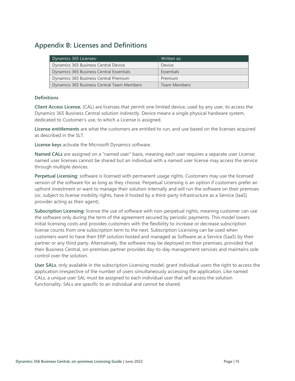# <span id="page-17-0"></span>**Appendix B: Licenses and Definitions**

| Dynamics 365 Licenses:                     | Written as:         |
|--------------------------------------------|---------------------|
| Dynamics 365 Business Central Device       | Device              |
| Dynamics 365 Business Central Essentials   | Essentials          |
| Dynamics 365 Business Central Premium      | Premium             |
| Dynamics 365 Business Central Team Members | <b>Team Members</b> |

#### **Definitions**

<span id="page-17-1"></span>**Client Access License,** (CAL) are licenses that permit one limited device, used by any user, to access the Dynamics 365 Business Central solution indirectly. Device means a single physical hardware system, dedicated to Customer's use, to which a License is assigned.

**License entitlements** are what the customers are entitled to run, and use based on the licenses acquired as described in the SLT.

**License keys** activate the Microsoft Dynamics software.

**Named CALs** are assigned on a "named user" basis, meaning each user requires a separate user License; named user licenses cannot be shared but an individual with a named user license may access the service through multiple devices.

**Perpetual Licensing:** software is licensed with permanent usage rights. Customers may use the licensed version of the software for as long as they choose. Perpetual Licensing is an option if customers prefer an upfront investment or want to manage their solution internally and will run the software on their premises (or, subject to license mobility rights, have it hosted by a third-party Infrastructure as a Service [IaaS] provider acting as their agent).

**Subscription Licensing:** license the use of software with non-perpetual rights, meaning customer can use the software only during the term of the agreement secured by periodic payments. This model lowers initial licensing costs and provides customers with the flexibility to increase or decrease subscription license counts from one subscription term to the next. Subscription Licensing can be used when customers want to have their ERP solution hosted and managed as Software as a Service (SaaS) by their partner or any third party. Alternatively, the software may be deployed on their premises, provided that their Business Central, on-premises partner provides day-to-day management services and maintains sole control over the solution.

<span id="page-17-2"></span>**User SALs**, only available in the subscription Licensing model, grant individual users the right to access the application irrespective of the number of users simultaneously accessing the application. Like named CALs, a unique user SAL must be assigned to each individual user that will access the solution functionality. SALs are specific to an individual and cannot be shared.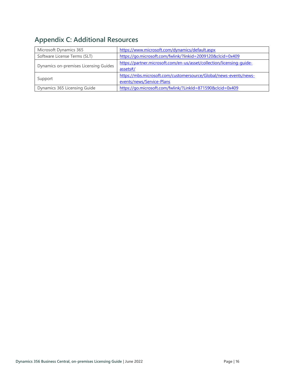# <span id="page-18-0"></span>**Appendix C: Additional Resources**

| Microsoft Dynamics 365                | https://www.microsoft.com/dynamics/default.aspx                                                |
|---------------------------------------|------------------------------------------------------------------------------------------------|
| Software License Terms (SLT)          | https://go.microsoft.com/fwlink/?linkid=2009120&clcid=0x409                                    |
| Dynamics on-premises Licensing Guides | https://partner.microsoft.com/en-us/asset/collection/licensing-quide-<br>assets#/              |
| Support                               | https://mbs.microsoft.com/customersource/Global/news-events/news-<br>events/news/Service-Plans |
| Dynamics 365 Licensing Guide          | https://go.microsoft.com/fwlink/?LinkId=871590&clcid=0x409                                     |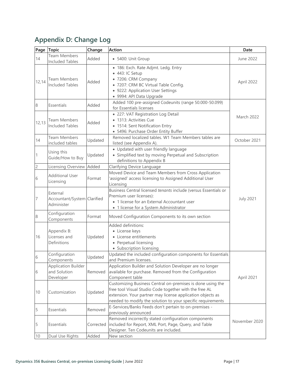# <span id="page-19-0"></span>**Appendix D: Change Log**

| Page           | <b>Topic</b>                                            | Change    | <b>Action</b>                                                                                                                                                                                                                                     | Date              |
|----------------|---------------------------------------------------------|-----------|---------------------------------------------------------------------------------------------------------------------------------------------------------------------------------------------------------------------------------------------------|-------------------|
| 14             | <b>Team Members</b><br><b>Included Tables</b>           | Added     | · 5400: Unit Group                                                                                                                                                                                                                                | June 2022         |
| 12,14          | Team Members<br><b>Included Tables</b>                  | Added     | · 186: Exch. Rate Adjmt. Ledg. Entry<br>• 443: IC Setup<br>· 7206: CRM Company<br>• 7207: CRM BC Virtual Table Config.<br>• 9222: Application User Settings<br>· 9994: API Data Upgrade                                                           | April 2022        |
| 8              | Essentials                                              | Added     | Added 100 pre-assigned Codeunits (range 50.000-50.099)<br>for Essentials licenses                                                                                                                                                                 |                   |
| 12, 13         | <b>Team Members</b><br><b>Included Tables</b>           | Added     | • 227: VAT Registration Log Detail<br>• 1313: Activities Cue<br>• 1514: Sent Notification Entry<br>• 5496: Purchase Order Entity Buffer                                                                                                           | <b>March 2022</b> |
| 14             | <b>Team Members</b><br>included tables                  | Updated   | Removed localized tables. W1 Team Members tables are<br>listed (see Appendix A).                                                                                                                                                                  | October 2021      |
| $\vert$ 1      | Using this<br>Guide/How to Buy                          | Updated   | • Updated with user friendly language<br>• Simplified text by moving Perpetual and Subscription<br>definitions to Appendix B                                                                                                                      |                   |
| $\overline{c}$ | Licensing Overview Added                                |           | Clarifying Device Language                                                                                                                                                                                                                        |                   |
| $\sqrt{6}$     | <b>Additional User</b><br>Licensing                     | Format    | Moved Device and Team Members from Cross Application<br>assigned' access licensing to Assigned Additional User<br>Licensing                                                                                                                       |                   |
| $\overline{7}$ | External<br>Accountant/System Clarified<br>Administer   |           | Business Central licensed tenants include (versus Essentials or<br>Premium user licenses):<br>• 1 license for an External Accountant user<br>• 1 license for a System Administrator                                                               | <b>July 2021</b>  |
| $\,8\,$        | Configuration<br>Components                             | Format    | Moved Configuration Components to its own section                                                                                                                                                                                                 |                   |
| 16             | Appendix B:<br>Licenses and<br>Definitions              | Updated   | Added definitions:<br>• License keys<br>• License entitlements<br>• Perpetual licensing<br>• Subscription licensing                                                                                                                               |                   |
| 6              | Configuration<br>Components                             | Updated   | Updated the included configuration components for Essentials<br>and Premium licenses.                                                                                                                                                             |                   |
| 6              | <b>Application Builder</b><br>and Solution<br>Developer | Removed   | Application Builder and Solution Developer are no longer<br>available for purchase. Removed from the Configuration<br>Component table                                                                                                             | April 2021        |
| 10             | Customization                                           | Updated   | Customizing Business Central on-premises is done using the<br>free tool Visual Studio Code together with the free AL<br>extension. Your partner may license application objects as<br>needed to modify the solution to your specific requirements |                   |
| 5              | Essentials                                              | Removed   | E-Services/Banks Feeds don't pertain to on-premises -<br>previously announced                                                                                                                                                                     |                   |
| 5              | Essentials                                              | Corrected | Removed incorrectly stated configuration components<br>included for Report, XML Port, Page, Query, and Table<br>Designer. Ten Codeunits are included.                                                                                             | November 2020     |
| 10             | Dual Use Rights                                         | Added     | New section                                                                                                                                                                                                                                       |                   |